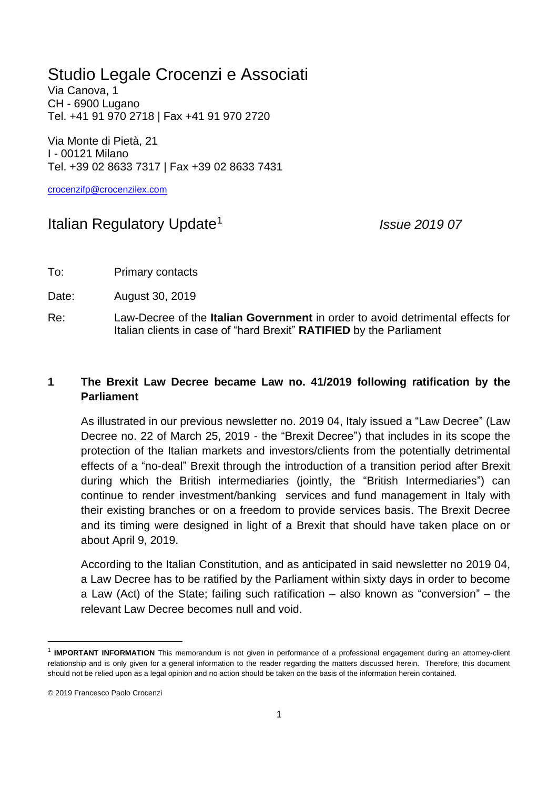## Studio Legale Crocenzi e Associati

Via Canova, 1 CH - 6900 Lugano Tel. +41 91 970 2718 | Fax +41 91 970 2720

Via Monte di Pietà, 21 I - 00121 Milano Tel. +39 02 8633 7317 | Fax +39 02 8633 7431

[crocenzifp@crocenzilex.com](mailto:crocenzifp@crocenzilex.com)

## Italian Regulatory Update<sup>1</sup>

*Issue 2019 07*

To: Primary contacts

Date: August 30, 2019

Re: Law-Decree of the **Italian Government** in order to avoid detrimental effects for Italian clients in case of "hard Brexit" **RATIFIED** by the Parliament

## **1 The Brexit Law Decree became Law no. 41/2019 following ratification by the Parliament**

As illustrated in our previous newsletter no. 2019 04, Italy issued a "Law Decree" (Law Decree no. 22 of March 25, 2019 - the "Brexit Decree") that includes in its scope the protection of the Italian markets and investors/clients from the potentially detrimental effects of a "no-deal" Brexit through the introduction of a transition period after Brexit during which the British intermediaries (jointly, the "British Intermediaries") can continue to render investment/banking services and fund management in Italy with their existing branches or on a freedom to provide services basis. The Brexit Decree and its timing were designed in light of a Brexit that should have taken place on or about April 9, 2019.

According to the Italian Constitution, and as anticipated in said newsletter no 2019 04, a Law Decree has to be ratified by the Parliament within sixty days in order to become a Law (Act) of the State; failing such ratification – also known as "conversion" – the relevant Law Decree becomes null and void.

<sup>&</sup>lt;sup>1</sup> IMPORTANT INFORMATION This memorandum is not given in performance of a professional engagement during an attorney-client relationship and is only given for a general information to the reader regarding the matters discussed herein. Therefore, this document should not be relied upon as a legal opinion and no action should be taken on the basis of the information herein contained.

<sup>© 2019</sup> Francesco Paolo Crocenzi